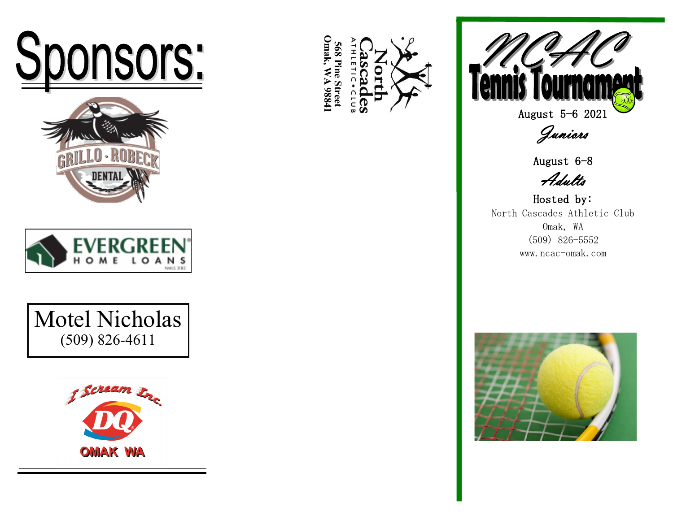





Motel Nicholas (509) 826 -4611



**Omak, WA 98841** )mak. **568 Pine Street 68 Pine Street WA 9884** 



Juniors

August 6 - 8

Adults

Hosted by: North Cascades Athletic Club Omak, WA (509) 826 -5552 www.ncac-omak.com